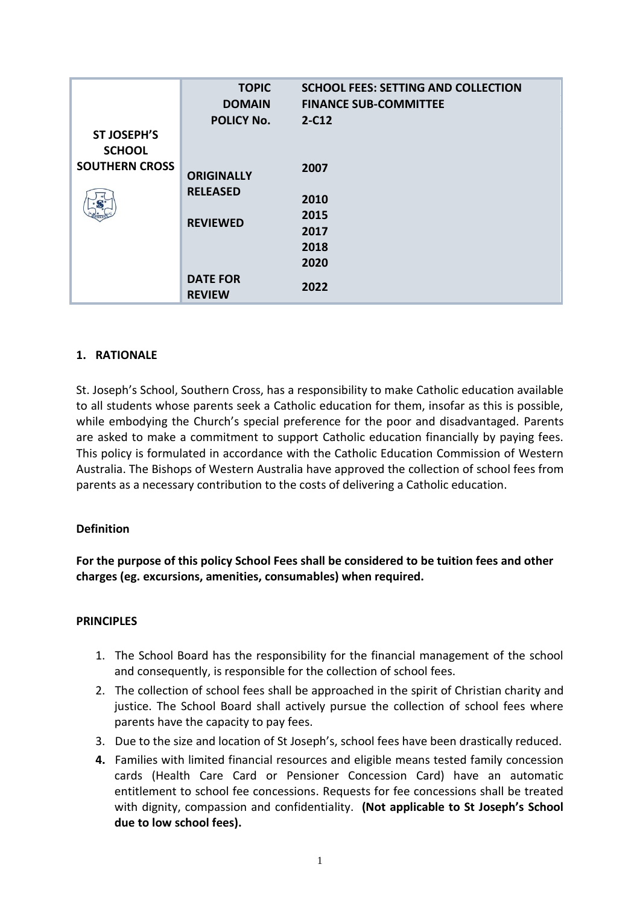|                                     | <b>TOPIC</b><br><b>DOMAIN</b>    | <b>SCHOOL FEES: SETTING AND COLLECTION</b><br><b>FINANCE SUB-COMMITTEE</b> |
|-------------------------------------|----------------------------------|----------------------------------------------------------------------------|
|                                     |                                  |                                                                            |
| <b>ST JOSEPH'S</b><br><b>SCHOOL</b> | <b>POLICY No.</b>                | $2-C12$                                                                    |
| <b>SOUTHERN CROSS</b>               | <b>ORIGINALLY</b>                | 2007                                                                       |
|                                     |                                  |                                                                            |
| $\mathbf{S}^*$                      | <b>RELEASED</b>                  | 2010                                                                       |
|                                     | <b>REVIEWED</b>                  | 2015                                                                       |
|                                     |                                  | 2017                                                                       |
|                                     |                                  | 2018                                                                       |
|                                     |                                  | 2020                                                                       |
|                                     | <b>DATE FOR</b><br><b>REVIEW</b> | 2022                                                                       |

## **1. RATIONALE**

St. Joseph's School, Southern Cross, has a responsibility to make Catholic education available to all students whose parents seek a Catholic education for them, insofar as this is possible, while embodying the Church's special preference for the poor and disadvantaged. Parents are asked to make a commitment to support Catholic education financially by paying fees. This policy is formulated in accordance with the Catholic Education Commission of Western Australia. The Bishops of Western Australia have approved the collection of school fees from parents as a necessary contribution to the costs of delivering a Catholic education.

## **Definition**

**For the purpose of this policy School Fees shall be considered to be tuition fees and other charges (eg. excursions, amenities, consumables) when required.**

## **PRINCIPLES**

- 1. The School Board has the responsibility for the financial management of the school and consequently, is responsible for the collection of school fees.
- 2. The collection of school fees shall be approached in the spirit of Christian charity and justice. The School Board shall actively pursue the collection of school fees where parents have the capacity to pay fees.
- 3. Due to the size and location of St Joseph's, school fees have been drastically reduced.
- **4.** Families with limited financial resources and eligible means tested family concession cards (Health Care Card or Pensioner Concession Card) have an automatic entitlement to school fee concessions. Requests for fee concessions shall be treated with dignity, compassion and confidentiality. **(Not applicable to St Joseph's School due to low school fees).**